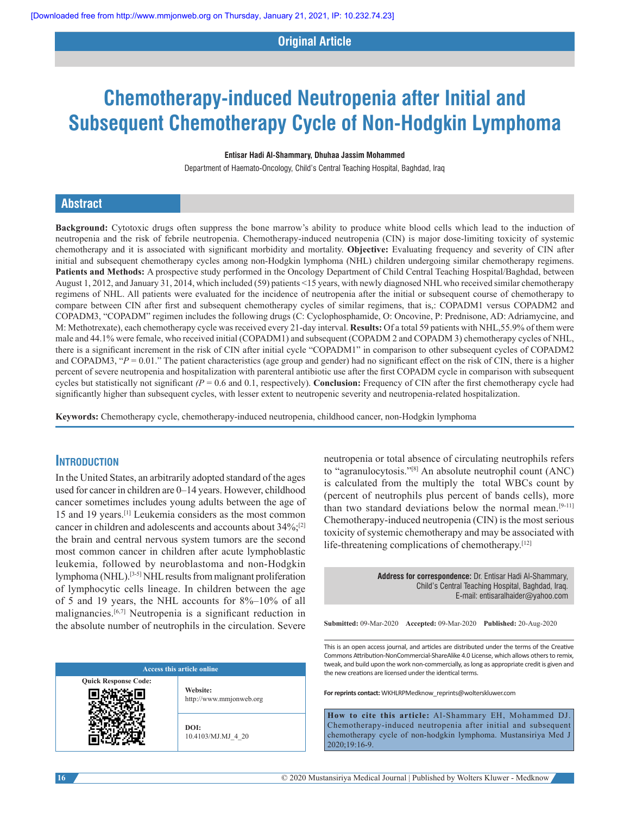## **Original Article**

# **Chemotherapy‑induced Neutropenia after Initial and Subsequent Chemotherapy Cycle of Non‑Hodgkin Lymphoma**

#### **Entisar Hadi Al‑Shammary, Dhuhaa Jassim Mohammed**

Department of Haemato-Oncology, Child's Central Teaching Hospital, Baghdad, Iraq

## **Abstract**

**Background:** Cytotoxic drugs often suppress the bone marrow's ability to produce white blood cells which lead to the induction of neutropenia and the risk of febrile neutropenia. Chemotherapy-induced neutropenia (CIN) is major dose-limiting toxicity of systemic chemotherapy and it is associated with significant morbidity and mortality. **Objective:** Evaluating frequency and severity of CIN after initial and subsequent chemotherapy cycles among non-Hodgkin lymphoma (NHL) children undergoing similar chemotherapy regimens. **Patients and Methods:** A prospective study performed in the Oncology Department of Child Central Teaching Hospital/Baghdad, between August 1, 2012, and January 31, 2014, which included (59) patients <15 years, with newly diagnosed NHL who received similar chemotherapy regimens of NHL. All patients were evaluated for the incidence of neutropenia after the initial or subsequent course of chemotherapy to compare between CIN after first and subsequent chemotherapy cycles of similar regimens, that is,: COPADM1 versus COPADM2 and COPADM3, "COPADM" regimen includes the following drugs (C: Cyclophosphamide, O: Oncovine, P: Prednisone, AD: Adriamycine, and M: Methotrexate), each chemotherapy cycle was received every 21‑day interval. **Results:** Of a total 59 patients with NHL,55.9% of them were male and 44.1% were female, who received initial (COPADM1) and subsequent (COPADM 2 and COPADM 3) chemotherapy cycles of NHL, there is a significant increment in the risk of CIN after initial cycle "COPADM1" in comparison to other subsequent cycles of COPADM2 and COPADM3, " $P = 0.01$ ." The patient characteristics (age group and gender) had no significant effect on the risk of CIN, there is a higher percent of severe neutropenia and hospitalization with parenteral antibiotic use after the first COPADM cycle in comparison with subsequent cycles but statistically not significant *(P* = 0.6 and 0.1, respectively). **Conclusion:** Frequency of CIN after the first chemotherapy cycle had significantly higher than subsequent cycles, with lesser extent to neutropenic severity and neutropenia-related hospitalization.

**Keywords:** Chemotherapy cycle, chemotherapy‑induced neutropenia, childhood cancer, non‑Hodgkin lymphoma

## **Introduction**

In the United States, an arbitrarily adopted standard of the ages used for cancer in children are 0–14 years. However, childhood cancer sometimes includes young adults between the age of 15 and 19 years.[1] Leukemia considers as the most common cancer in children and adolescents and accounts about 34%;[2] the brain and central nervous system tumors are the second most common cancer in children after acute lymphoblastic leukemia, followed by neuroblastoma and non‑Hodgkin lymphoma (NHL).[3‑5] NHL results from malignant proliferation of lymphocytic cells lineage. In children between the age of 5 and 19 years, the NHL accounts for 8%–10% of all malignancies.[6,7] Neutropenia is a significant reduction in the absolute number of neutrophils in the circulation. Severe

| <b>Access this article online</b> |                                     |  |  |
|-----------------------------------|-------------------------------------|--|--|
| <b>Quick Response Code:</b>       | Website:<br>http://www.mmjonweb.org |  |  |
|                                   | DOI:<br>10.4103/MJ.MJ 4 20          |  |  |

neutropenia or total absence of circulating neutrophils refers to "agranulocytosis."[8] An absolute neutrophil count (ANC) is calculated from the multiply the total WBCs count by (percent of neutrophils plus percent of bands cells), more than two standard deviations below the normal mean.<sup>[9-11]</sup> Chemotherapy‑induced neutropenia (CIN) is the most serious toxicity of systemic chemotherapy and may be associated with life-threatening complications of chemotherapy.<sup>[12]</sup>

> **Address for correspondence:** Dr. Entisar Hadi Al‑Shammary, Child's Central Teaching Hospital, Baghdad, Iraq. E‑mail: entisaralhaider@yahoo.com

**Submitted:** 09-Mar-2020 **Accepted:** 09-Mar-2020 **Published:** 20-Aug-2020

This is an open access journal, and articles are distributed under the terms of the Creative Commons Attribution‑NonCommercial‑ShareAlike 4.0 License, which allows others to remix, tweak, and build upon the work non‑commercially, as long as appropriate credit is given and the new creations are licensed under the identical terms.

**For reprints contact:** WKHLRPMedknow\_reprints@wolterskluwer.com

**How to cite this article:** Al-Shammary EH, Mohammed DJ. Chemotherapy-induced neutropenia after initial and subsequent chemotherapy cycle of non-hodgkin lymphoma. Mustansiriya Med J 2020;19:16-9.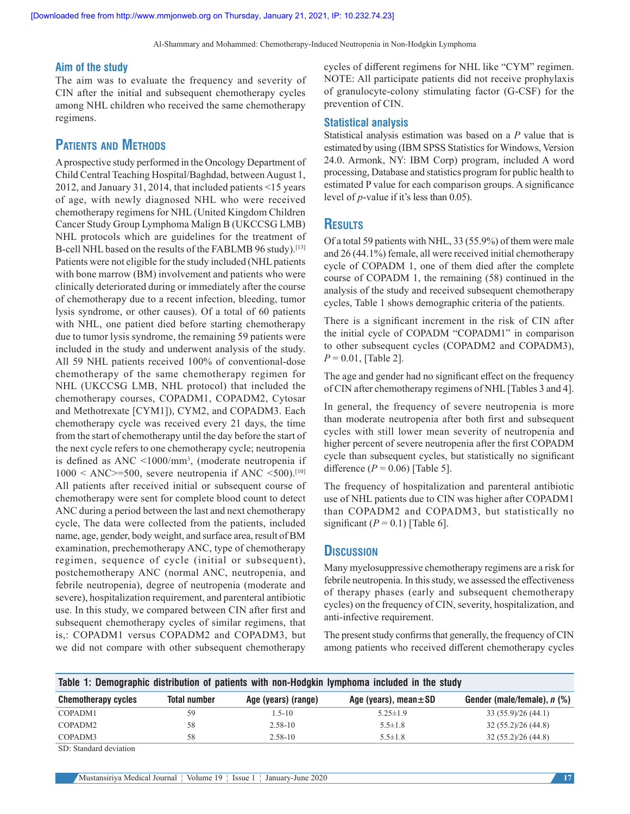Al‑Shammary and Mohammed: Chemotherapy-Induced Neutropenia in Non-Hodgkin Lymphoma

#### **Aim of the study**

The aim was to evaluate the frequency and severity of CIN after the initial and subsequent chemotherapy cycles among NHL children who received the same chemotherapy regimens.

# **Patients and Methods**

A prospective study performed in the Oncology Department of Child Central Teaching Hospital/Baghdad, between August 1, 2012, and January 31, 2014, that included patients <15 years of age, with newly diagnosed NHL who were received chemotherapy regimens for NHL (United Kingdom Children Cancer Study Group Lymphoma Malign B (UKCCSG LMB) NHL protocols which are guidelines for the treatment of B-cell NHL based on the results of the FABLMB 96 study).<sup>[13]</sup> Patients were not eligible for the study included (NHL patients with bone marrow (BM) involvement and patients who were clinically deteriorated during or immediately after the course of chemotherapy due to a recent infection, bleeding, tumor lysis syndrome, or other causes). Of a total of 60 patients with NHL, one patient died before starting chemotherapy due to tumor lysis syndrome, the remaining 59 patients were included in the study and underwent analysis of the study. All 59 NHL patients received 100% of conventional-dose chemotherapy of the same chemotherapy regimen for NHL (UKCCSG LMB, NHL protocol) that included the chemotherapy courses, COPADM1, COPADM2, Cytosar and Methotrexate [CYM1]), CYM2, and COPADM3. Each chemotherapy cycle was received every 21 days, the time from the start of chemotherapy until the day before the start of the next cycle refers to one chemotherapy cycle; neutropenia is defined as ANC <1000/mm<sup>3</sup> , (moderate neutropenia if  $1000 < ANC \ge 500$ , severe neutropenia if ANC <500).<sup>[10]</sup> All patients after received initial or subsequent course of chemotherapy were sent for complete blood count to detect ANC during a period between the last and next chemotherapy cycle, The data were collected from the patients, included name, age, gender, body weight, and surface area, result of BM examination, prechemotherapy ANC, type of chemotherapy regimen, sequence of cycle (initial or subsequent), postchemotherapy ANC (normal ANC, neutropenia, and febrile neutropenia), degree of neutropenia (moderate and severe), hospitalization requirement, and parenteral antibiotic use. In this study, we compared between CIN after first and subsequent chemotherapy cycles of similar regimens, that is,: COPADM1 versus COPADM2 and COPADM3, but we did not compare with other subsequent chemotherapy

cycles of different regimens for NHL like "CYM" regimen. NOTE: All participate patients did not receive prophylaxis of granulocyte‑colony stimulating factor (G‑CSF) for the prevention of CIN.

#### **Statistical analysis**

Statistical analysis estimation was based on a *P* value that is estimated by using (IBM SPSS Statistics for Windows, Version 24.0. Armonk, NY: IBM Corp) program, included A word processing, Database and statistics program for public health to estimated P value for each comparison groups. A significance level of *p*-value if it's less than 0.05).

## **Results**

Of a total 59 patients with NHL, 33 (55.9%) of them were male and 26 (44.1%) female, all were received initial chemotherapy cycle of COPADM 1, one of them died after the complete course of COPADM 1, the remaining (58) continued in the analysis of the study and received subsequent chemotherapy cycles, Table 1 shows demographic criteria of the patients.

There is a significant increment in the risk of CIN after the initial cycle of COPADM "COPADM1" in comparison to other subsequent cycles (COPADM2 and COPADM3),  $P = 0.01$ , [Table 2].

The age and gender had no significant effect on the frequency of CIN after chemotherapy regimens of NHL[Tables 3 and 4].

In general, the frequency of severe neutropenia is more than moderate neutropenia after both first and subsequent cycles with still lower mean severity of neutropenia and higher percent of severe neutropenia after the first COPADM cycle than subsequent cycles, but statistically no significant difference  $(P = 0.06)$  [Table 5].

The frequency of hospitalization and parenteral antibiotic use of NHL patients due to CIN was higher after COPADM1 than COPADM2 and COPADM3, but statistically no significant  $(P = 0.1)$  [Table 6].

#### **Discussion**

Many myelosuppressive chemotherapy regimens are a risk for febrile neutropenia. In this study, we assessed the effectiveness of therapy phases (early and subsequent chemotherapy cycles) on the frequency of CIN, severity, hospitalization, and anti-infective requirement.

The present study confirms that generally, the frequency of CIN among patients who received different chemotherapy cycles

|                                           |                     |                     | Table 1: Demographic distribution of patients with non-Hodgkin lymphoma included in the study |                             |
|-------------------------------------------|---------------------|---------------------|-----------------------------------------------------------------------------------------------|-----------------------------|
| <b>Chemotherapy cycles</b>                | <b>Total number</b> | Age (years) (range) | Age (years), mean $\pm$ SD                                                                    | Gender (male/female), n (%) |
| COPADM1                                   | 59                  | $1.5 - 10$          | $5.25 \pm 1.9$                                                                                | 33(55.9)/26(44.1)           |
| COPADM2                                   | 58                  | $2.58 - 10$         | $5.5 \pm 1.8$                                                                                 | 32(55.2)/26(44.8)           |
| COPADM3                                   | 58                  | $2.58 - 10$         | $5.5 \pm 1.8$                                                                                 | 32(55.2)/26(44.8)           |
| $\sim$ $\sim$ $\sim$ $\sim$ $\sim$ $\sim$ |                     |                     |                                                                                               |                             |

SD: Standard deviation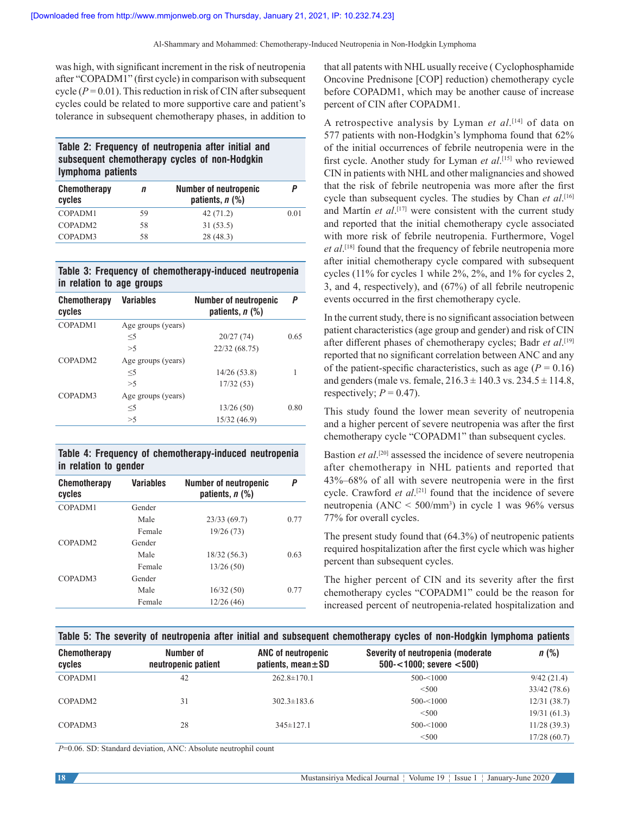was high, with significant increment in the risk of neutropenia after "COPADM1" (first cycle) in comparison with subsequent cycle  $(P = 0.01)$ . This reduction in risk of CIN after subsequent cycles could be related to more supportive care and patient's tolerance in subsequent chemotherapy phases, in addition to

| Table 2: Frequency of neutropenia after initial and |  |
|-----------------------------------------------------|--|
| subsequent chemotherapy cycles of non-Hodgkin       |  |
| lymphoma patients                                   |  |

| <b>Chemotherapy</b><br>cycles | n  | <b>Number of neutropenic</b><br>patients, $n$ $(\%)$ | P    |
|-------------------------------|----|------------------------------------------------------|------|
| COPADM1                       | 59 | 42(71.2)                                             | 0.01 |
| COPADM <sub>2</sub>           | 58 | 31(53.5)                                             |      |
| COPADM3                       | 58 | 28(48.3)                                             |      |

### **Table 3: Frequency of chemotherapy‑induced neutropenia in relation to age groups**

| Chemotherapy<br>cycles | <b>Variables</b>   | Number of neutropenic<br>patients, $n$ (%) | P    |
|------------------------|--------------------|--------------------------------------------|------|
| COPADM1                | Age groups (years) |                                            |      |
|                        | $<$ 5              | 20/27(74)                                  | 0.65 |
|                        | >5                 | 22/32 (68.75)                              |      |
| COPADM <sub>2</sub>    | Age groups (years) |                                            |      |
|                        | $<$ 5              | 14/26(53.8)                                |      |
|                        | >5                 | 17/32(53)                                  |      |
| COPADM3                | Age groups (years) |                                            |      |
|                        | $<$ 5              | 13/26(50)                                  | 0.80 |
|                        | >5                 | 15/32 (46.9)                               |      |
|                        |                    |                                            |      |

**Table 4: Frequency of chemotherapy‑induced neutropenia in relation to gender**

| <b>Chemotherapy</b><br>cycles | <b>Variables</b> | <b>Number of neutropenic</b><br>patients, n (%) | P    |
|-------------------------------|------------------|-------------------------------------------------|------|
| COPADM1                       | Gender           |                                                 |      |
|                               | Male             | 23/33(69.7)                                     | 0.77 |
|                               | Female           | 19/26(73)                                       |      |
| COPADM <sub>2</sub>           | Gender           |                                                 |      |
|                               | Male             | 18/32(56.3)                                     | 0.63 |
|                               | Female           | 13/26(50)                                       |      |
| COPADM3                       | Gender           |                                                 |      |
|                               | Male             | 16/32(50)                                       | 0.77 |
|                               | Female           | 12/26(46)                                       |      |

that all patents with NHL usually receive ( Cyclophosphamide Oncovine Prednisone [COP] reduction) chemotherapy cycle before COPADM1, which may be another cause of increase percent of CIN after COPADM1.

A retrospective analysis by Lyman *et al*. [14] of data on 577 patients with non-Hodgkin's lymphoma found that 62% of the initial occurrences of febrile neutropenia were in the first cycle. Another study for Lyman *et al*. [15] who reviewed CIN in patients with NHL and other malignancies and showed that the risk of febrile neutropenia was more after the first cycle than subsequent cycles. The studies by Chan *et al*. [16] and Martín *et al*. [17] were consistent with the current study and reported that the initial chemotherapy cycle associated with more risk of febrile neutropenia. Furthermore, Vogel *et al*. [18] found that the frequency of febrile neutropenia more after initial chemotherapy cycle compared with subsequent cycles (11% for cycles 1 while 2%, 2%, and 1% for cycles 2, 3, and 4, respectively), and (67%) of all febrile neutropenic events occurred in the first chemotherapy cycle.

In the current study, there is no significant association between patient characteristics (age group and gender) and risk of CIN after different phases of chemotherapy cycles; Badr *et al*. [19] reported that no significant correlation between ANC and any of the patient-specific characteristics, such as age  $(P = 0.16)$ and genders (male vs. female,  $216.3 \pm 140.3$  vs.  $234.5 \pm 114.8$ , respectively;  $P = 0.47$ ).

This study found the lower mean severity of neutropenia and a higher percent of severe neutropenia was after the first chemotherapy cycle "COPADM1" than subsequent cycles.

Bastion *et al*. [20] assessed the incidence of severe neutropenia after chemotherapy in NHL patients and reported that 43%–68% of all with severe neutropenia were in the first cycle. Crawford *et al*.<sup>[21]</sup> found that the incidence of severe neutropenia (ANC < 500/mm<sup>3</sup> ) in cycle 1 was 96% versus 77% for overall cycles.

The present study found that (64.3%) of neutropenic patients required hospitalization after the first cycle which was higher percent than subsequent cycles.

The higher percent of CIN and its severity after the first chemotherapy cycles "COPADM1" could be the reason for increased percent of neutropenia‑related hospitalization and

#### **Table 5: The severity of neutropenia after initial and subsequent chemotherapy cycles of non‑Hodgkin lymphoma patients**

| <b>Chemotherapy</b><br>cycles | Number of<br>neutropenic patient | ANC of neutropenic<br>patients, mean $\pm$ SD | Severity of neutropenia (moderate<br>$500 - 1000$ ; severe $< 500$ ) | $n$ (%)     |
|-------------------------------|----------------------------------|-----------------------------------------------|----------------------------------------------------------------------|-------------|
| COPADM1                       | 42                               | $262.8 \pm 170.1$                             | $500 - 1000$                                                         | 9/42(21.4)  |
|                               |                                  |                                               | < 500                                                                | 33/42(78.6) |
| COPADM2                       | 31                               | $302.3 \pm 183.6$                             | $500 - 1000$                                                         | 12/31(38.7) |
|                               |                                  |                                               | < 500                                                                | 19/31(61.3) |
| COPADM3                       | 28                               | $345 \pm 127.1$                               | $500 - 1000$                                                         | 11/28(39.3) |
|                               |                                  |                                               | < 500                                                                | 17/28(60.7) |

*P*=0.06. SD: Standard deviation, ANC: Absolute neutrophil count